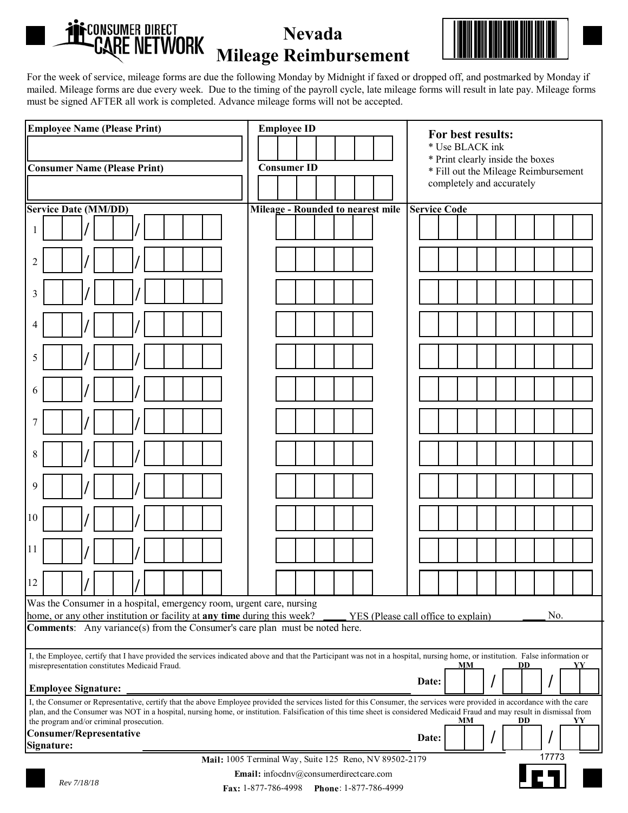

## **Nevada Mileage Reimbursement**



For the week of service, mileage forms are due the following Monday by Midnight if faxed or dropped off, and postmarked by Monday if mailed. Mileage forms are due every week. Due to the timing of the payroll cycle, late mileage forms will result in late pay. Mileage forms must be signed AFTER all work is completed. Advance mileage forms will not be accepted.

|                                                                                                                                                                                                                                                         |  | For best results:                                                        |  |          |  |
|---------------------------------------------------------------------------------------------------------------------------------------------------------------------------------------------------------------------------------------------------------|--|--------------------------------------------------------------------------|--|----------|--|
|                                                                                                                                                                                                                                                         |  | * Use BLACK ink                                                          |  |          |  |
| <b>Consumer ID</b><br><b>Consumer Name (Please Print)</b>                                                                                                                                                                                               |  | * Print clearly inside the boxes<br>* Fill out the Mileage Reimbursement |  |          |  |
|                                                                                                                                                                                                                                                         |  | completely and accurately                                                |  |          |  |
| <b>Service Date (MM/DD)</b><br>Mileage - Rounded to nearest mile                                                                                                                                                                                        |  | <b>Service Code</b>                                                      |  |          |  |
|                                                                                                                                                                                                                                                         |  |                                                                          |  |          |  |
| 1                                                                                                                                                                                                                                                       |  |                                                                          |  |          |  |
|                                                                                                                                                                                                                                                         |  |                                                                          |  |          |  |
| $\overline{2}$                                                                                                                                                                                                                                          |  |                                                                          |  |          |  |
| 3                                                                                                                                                                                                                                                       |  |                                                                          |  |          |  |
| $\overline{4}$                                                                                                                                                                                                                                          |  |                                                                          |  |          |  |
| 5                                                                                                                                                                                                                                                       |  |                                                                          |  |          |  |
|                                                                                                                                                                                                                                                         |  |                                                                          |  |          |  |
| 6                                                                                                                                                                                                                                                       |  |                                                                          |  |          |  |
| 7                                                                                                                                                                                                                                                       |  |                                                                          |  |          |  |
| 8                                                                                                                                                                                                                                                       |  |                                                                          |  |          |  |
|                                                                                                                                                                                                                                                         |  |                                                                          |  |          |  |
| 9                                                                                                                                                                                                                                                       |  |                                                                          |  |          |  |
| 10                                                                                                                                                                                                                                                      |  |                                                                          |  |          |  |
| 11                                                                                                                                                                                                                                                      |  |                                                                          |  |          |  |
| 12                                                                                                                                                                                                                                                      |  |                                                                          |  |          |  |
|                                                                                                                                                                                                                                                         |  |                                                                          |  |          |  |
| Was the Consumer in a hospital, emergency room, urgent care, nursing<br>home, or any other institution or facility at any time during this week?<br>No.<br>YES (Please call office to explain)                                                          |  |                                                                          |  |          |  |
| <b>Comments:</b> Any variance(s) from the Consumer's care plan must be noted here.                                                                                                                                                                      |  |                                                                          |  |          |  |
| I, the Employee, certify that I have provided the services indicated above and that the Participant was not in a hospital, nursing home, or institution. False information or<br>misrepresentation constitutes Medicaid Fraud.<br>MМ<br><b>DD</b><br>YY |  |                                                                          |  |          |  |
|                                                                                                                                                                                                                                                         |  | Date:                                                                    |  | $\prime$ |  |
| <b>Employee Signature:</b><br>I, the Consumer or Representative, certify that the above Employee provided the services listed for this Consumer, the services were provided in accordance with the care                                                 |  |                                                                          |  |          |  |
| plan, and the Consumer was NOT in a hospital, nursing home, or institution. Falsification of this time sheet is considered Medicaid Fraud and may result in dismissal from<br>the program and/or criminal prosecution.<br>MМ<br><b>DD</b><br>YY         |  |                                                                          |  |          |  |
| Consumer/Representative<br>Date:                                                                                                                                                                                                                        |  |                                                                          |  |          |  |
| Signature:                                                                                                                                                                                                                                              |  |                                                                          |  |          |  |
| 17773<br>Mail: 1005 Terminal Way, Suite 125 Reno, NV 89502-2179                                                                                                                                                                                         |  |                                                                          |  |          |  |
| Email: infocdnv@consumerdirectcare.com<br>Rev 7/18/18<br>Fax: 1-877-786-4998<br>Phone: 1-877-786-4999                                                                                                                                                   |  |                                                                          |  |          |  |